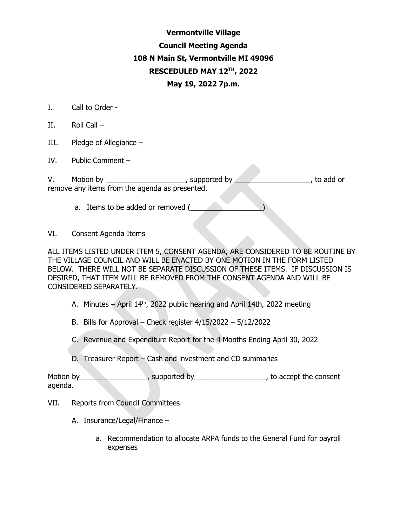### **Vermontville Village Council Meeting Agenda 108 N Main St, Vermontville MI 49096 RESCEDULED MAY 12TH, 2022 May 19, 2022 7p.m.**

- I. Call to Order -
- II. Roll Call –
- III. Pledge of Allegiance –
- IV. Public Comment –

V. Motion by the supported by the supported by to add or remove any items from the agenda as presented.

a. Items to be added or removed (

VI. Consent Agenda Items

ALL ITEMS LISTED UNDER ITEM 5, CONSENT AGENDA, ARE CONSIDERED TO BE ROUTINE BY THE VILLAGE COUNCIL AND WILL BE ENACTED BY ONE MOTION IN THE FORM LISTED BELOW. THERE WILL NOT BE SEPARATE DISCUSSION OF THESE ITEMS. IF DISCUSSION IS DESIRED, THAT ITEM WILL BE REMOVED FROM THE CONSENT AGENDA AND WILL BE CONSIDERED SEPARATELY.

A. Minutes – April  $14<sup>th</sup>$ , 2022 public hearing and April 14th, 2022 meeting

B. Bills for Approval – Check register 4/15/2022 – 5/12/2022

C. Revenue and Expenditure Report for the 4 Months Ending April 30, 2022

D. Treasurer Report – Cash and investment and CD summaries

Motion by \_\_\_\_\_\_\_\_\_\_\_\_\_\_\_\_\_\_, supported by \_\_\_\_\_\_\_\_\_\_\_\_\_\_\_\_\_\_\_\_\_\_\_, to accept the consent agenda.

- VII. Reports from Council Committees
	- A. Insurance/Legal/Finance
		- a. Recommendation to allocate ARPA funds to the General Fund for payroll expenses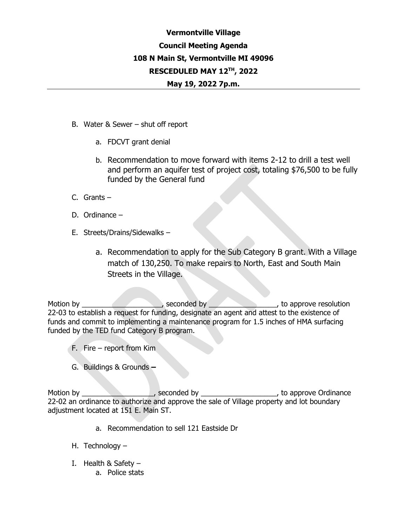# **Vermontville Village Council Meeting Agenda 108 N Main St, Vermontville MI 49096 RESCEDULED MAY 12TH, 2022**

#### **May 19, 2022 7p.m.**

- B. Water & Sewer shut off report
	- a. FDCVT grant denial
	- b. Recommendation to move forward with items 2-12 to drill a test well and perform an aquifer test of project cost, totaling \$76,500 to be fully funded by the General fund
- C. Grants –
- D. Ordinance –
- E. Streets/Drains/Sidewalks
	- a. Recommendation to apply for the Sub Category B grant. With a Village match of 130,250. To make repairs to North, East and South Main Streets in the Village.

Motion by **Example 20** Seconded by **Example 20**, to approve resolution 22-03 to establish a request for funding, designate an agent and attest to the existence of funds and commit to implementing a maintenance program for 1.5 inches of HMA surfacing funded by the TED fund Category B program.

- F. Fire report from Kim
- G. Buildings & Grounds **–**

Motion by the seconded by the seconded by the second by the second by the second by the approve Ordinance 22-02 an ordinance to authorize and approve the sale of Village property and lot boundary adjustment located at 151 E. Main ST.

- a. Recommendation to sell 121 Eastside Dr
- H. Technology –
- I. Health  $&$  Safety
	- a. Police stats